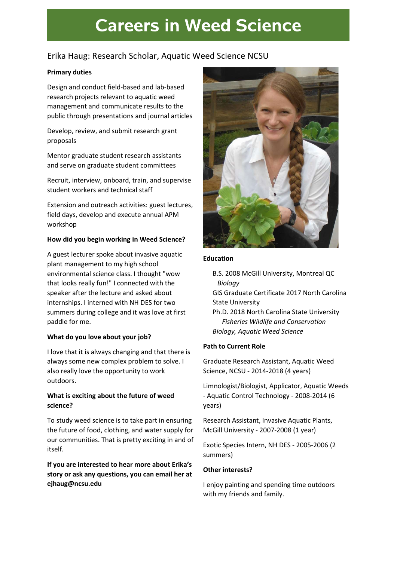# **Careers in Weed Science**

## Erika Haug: Research Scholar, Aquatic Weed Science NCSU

#### Primary duties

Design and conduct field-based and lab-based research projects relevant to aquatic weed management and communicate results to the public through presentations and journal articles

Develop, review, and submit research grant proposals

Mentor graduate student research assistants and serve on graduate student committees

Recruit, interview, onboard, train, and supervise student workers and technical staff

Extension and outreach activities: guest lectures, field days, develop and execute annual APM workshop

#### How did you begin working in Weed Science?

A guest lecturer spoke about invasive aquatic plant management to my high school environmental science class. I thought "wow that looks really fun!" I connected with the speaker after the lecture and asked about internships. I interned with NH DES for two summers during college and it was love at first paddle for me.

#### What do you love about your job?

I love that it is always changing and that there is always some new complex problem to solve. I also really love the opportunity to work outdoors.

### What is exciting about the future of weed science?

To study weed science is to take part in ensuring the future of food, clothing, and water supply for our communities. That is pretty exciting in and of itself.

If you are interested to hear more about Erika's story or ask any questions, you can email her at ejhaug@ncsu.edu



#### Education

B.S. 2008 McGill University, Montreal QC Biology

GIS Graduate Certificate 2017 North Carolina State University

Ph.D. 2018 North Carolina State University Fisheries Wildlife and Conservation Biology, Aquatic Weed Science

### Path to Current Role

Graduate Research Assistant, Aquatic Weed Science, NCSU - 2014-2018 (4 years)

Limnologist/Biologist, Applicator, Aquatic Weeds - Aquatic Control Technology - 2008-2014 (6 years)

Research Assistant, Invasive Aquatic Plants, McGill University - 2007-2008 (1 year)

Exotic Species Intern, NH DES - 2005-2006 (2 summers)

#### Other interests?

I enjoy painting and spending time outdoors with my friends and family.